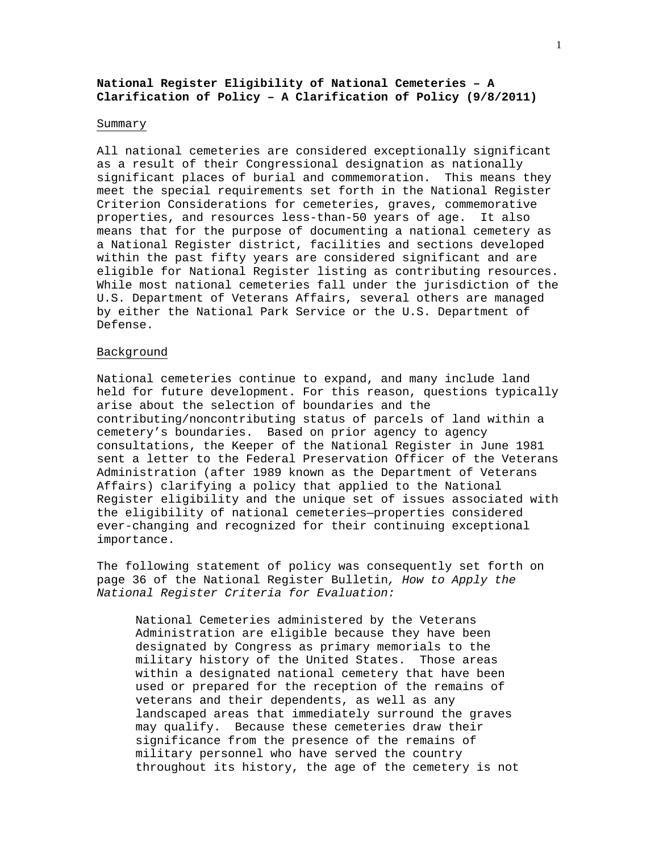# **National Register Eligibility of National Cemeteries – A Clarification of Policy – A Clarification of Policy (9/8/2011)**

### Summary

All national cemeteries are considered exceptionally significant as a result of their Congressional designation as nationally significant places of burial and commemoration. This means they meet the special requirements set forth in the National Register Criterion Considerations for cemeteries, graves, commemorative properties, and resources less-than-50 years of age. It also means that for the purpose of documenting a national cemetery as a National Register district, facilities and sections developed within the past fifty years are considered significant and are eligible for National Register listing as contributing resources. While most national cemeteries fall under the jurisdiction of the U.S. Department of Veterans Affairs, several others are managed by either the National Park Service or the U.S. Department of Defense.

#### Background

National cemeteries continue to expand, and many include land held for future development. For this reason, questions typically arise about the selection of boundaries and the contributing/noncontributing status of parcels of land within a cemetery's boundaries. Based on prior agency to agency consultations, the Keeper of the National Register in June 1981 sent a letter to the Federal Preservation Officer of the Veterans Administration (after 1989 known as the Department of Veterans Affairs) clarifying a policy that applied to the National Register eligibility and the unique set of issues associated with the eligibility of national cemeteries—properties considered ever-changing and recognized for their continuing exceptional importance.

The following statement of policy was consequently set forth on page 36 of the National Register Bulletin*, How to Apply the National Register Criteria for Evaluation:*

National Cemeteries administered by the Veterans Administration are eligible because they have been designated by Congress as primary memorials to the military history of the United States. Those areas within a designated national cemetery that have been used or prepared for the reception of the remains of veterans and their dependents, as well as any landscaped areas that immediately surround the graves may qualify. Because these cemeteries draw their significance from the presence of the remains of military personnel who have served the country throughout its history, the age of the cemetery is not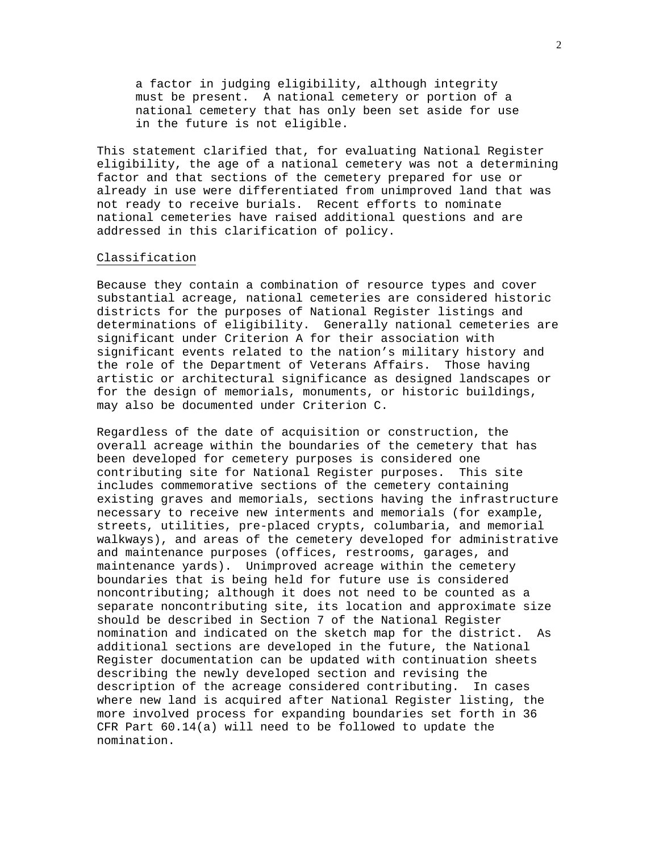a factor in judging eligibility, although integrity must be present. A national cemetery or portion of a national cemetery that has only been set aside for use in the future is not eligible.

This statement clarified that, for evaluating National Register eligibility, the age of a national cemetery was not a determining factor and that sections of the cemetery prepared for use or already in use were differentiated from unimproved land that was not ready to receive burials. Recent efforts to nominate national cemeteries have raised additional questions and are addressed in this clarification of policy.

#### Classification

Because they contain a combination of resource types and cover substantial acreage, national cemeteries are considered historic districts for the purposes of National Register listings and determinations of eligibility. Generally national cemeteries are significant under Criterion A for their association with significant events related to the nation's military history and the role of the Department of Veterans Affairs. Those having artistic or architectural significance as designed landscapes or for the design of memorials, monuments, or historic buildings, may also be documented under Criterion C.

Regardless of the date of acquisition or construction, the overall acreage within the boundaries of the cemetery that has been developed for cemetery purposes is considered one contributing site for National Register purposes. This site includes commemorative sections of the cemetery containing existing graves and memorials, sections having the infrastructure necessary to receive new interments and memorials (for example, streets, utilities, pre-placed crypts, columbaria, and memorial walkways), and areas of the cemetery developed for administrative and maintenance purposes (offices, restrooms, garages, and maintenance yards). Unimproved acreage within the cemetery boundaries that is being held for future use is considered noncontributing; although it does not need to be counted as a separate noncontributing site, its location and approximate size should be described in Section 7 of the National Register nomination and indicated on the sketch map for the district. As additional sections are developed in the future, the National Register documentation can be updated with continuation sheets describing the newly developed section and revising the description of the acreage considered contributing. In cases where new land is acquired after National Register listing, the more involved process for expanding boundaries set forth in 36 CFR Part 60.14(a) will need to be followed to update the nomination.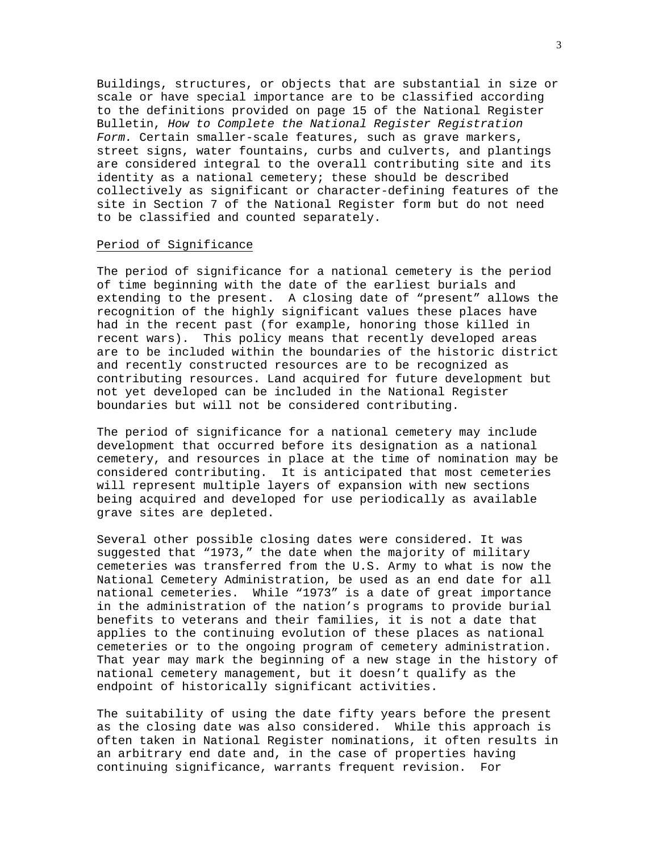Buildings, structures, or objects that are substantial in size or scale or have special importance are to be classified according to the definitions provided on page 15 of the National Register Bulletin, *How to Complete the National Register Registration Form.* Certain smaller-scale features, such as grave markers, street signs, water fountains, curbs and culverts, and plantings are considered integral to the overall contributing site and its identity as a national cemetery; these should be described collectively as significant or character-defining features of the site in Section 7 of the National Register form but do not need to be classified and counted separately.

#### Period of Significance

The period of significance for a national cemetery is the period of time beginning with the date of the earliest burials and extending to the present. A closing date of "present" allows the recognition of the highly significant values these places have had in the recent past (for example, honoring those killed in recent wars). This policy means that recently developed areas are to be included within the boundaries of the historic district and recently constructed resources are to be recognized as contributing resources. Land acquired for future development but not yet developed can be included in the National Register boundaries but will not be considered contributing.

The period of significance for a national cemetery may include development that occurred before its designation as a national cemetery, and resources in place at the time of nomination may be considered contributing. It is anticipated that most cemeteries will represent multiple layers of expansion with new sections being acquired and developed for use periodically as available grave sites are depleted.

Several other possible closing dates were considered. It was suggested that "1973," the date when the majority of military cemeteries was transferred from the U.S. Army to what is now the National Cemetery Administration, be used as an end date for all national cemeteries. While "1973" is a date of great importance in the administration of the nation's programs to provide burial benefits to veterans and their families, it is not a date that applies to the continuing evolution of these places as national cemeteries or to the ongoing program of cemetery administration. That year may mark the beginning of a new stage in the history of national cemetery management, but it doesn't qualify as the endpoint of historically significant activities.

The suitability of using the date fifty years before the present as the closing date was also considered. While this approach is often taken in National Register nominations, it often results in an arbitrary end date and, in the case of properties having continuing significance, warrants frequent revision. For